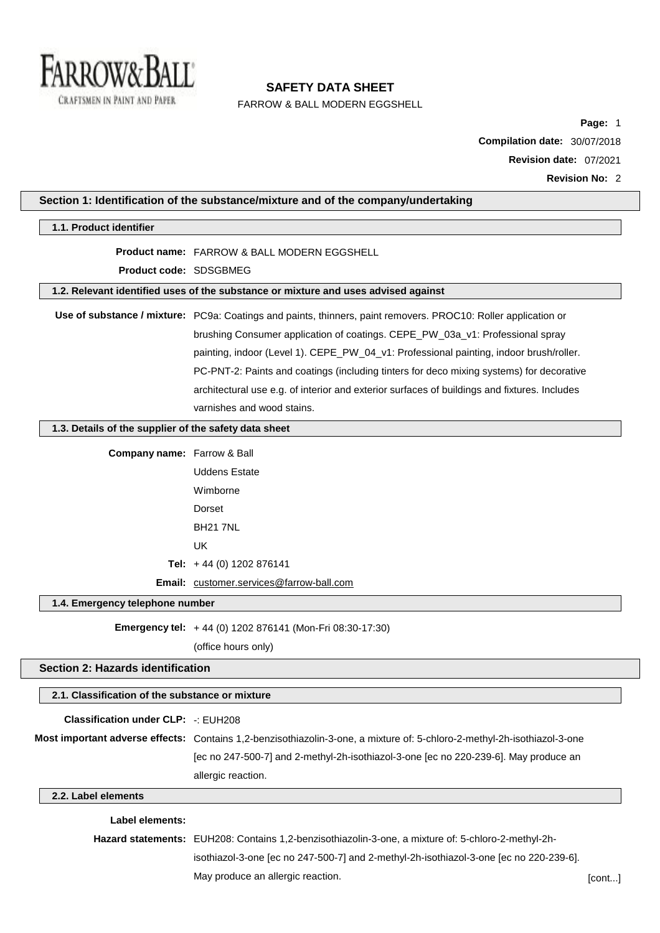

FARROW & BALL MODERN EGGSHELL

**Page:** 1 **Compilation date:** 30/07/2018 **Revision date:** 07/2021 **Revision No:** 2

|                                                       | Section 1: Identification of the substance/mixture and of the company/undertaking                                        |       |
|-------------------------------------------------------|--------------------------------------------------------------------------------------------------------------------------|-------|
| 1.1. Product identifier                               |                                                                                                                          |       |
|                                                       | <b>Product name: FARROW &amp; BALL MODERN EGGSHELL</b>                                                                   |       |
| Product code: SDSGBMEG                                |                                                                                                                          |       |
|                                                       | 1.2. Relevant identified uses of the substance or mixture and uses advised against                                       |       |
|                                                       | Use of substance / mixture: PC9a: Coatings and paints, thinners, paint removers. PROC10: Roller application or           |       |
|                                                       | brushing Consumer application of coatings. CEPE_PW_03a_v1: Professional spray                                            |       |
|                                                       | painting, indoor (Level 1). CEPE_PW_04_v1: Professional painting, indoor brush/roller.                                   |       |
|                                                       | PC-PNT-2: Paints and coatings (including tinters for deco mixing systems) for decorative                                 |       |
|                                                       | architectural use e.g. of interior and exterior surfaces of buildings and fixtures. Includes                             |       |
|                                                       | varnishes and wood stains.                                                                                               |       |
| 1.3. Details of the supplier of the safety data sheet |                                                                                                                          |       |
| <b>Company name:</b> Farrow & Ball                    |                                                                                                                          |       |
|                                                       | <b>Uddens Estate</b>                                                                                                     |       |
|                                                       | Wimborne                                                                                                                 |       |
|                                                       | Dorset                                                                                                                   |       |
|                                                       | <b>BH21 7NL</b>                                                                                                          |       |
|                                                       | UK                                                                                                                       |       |
|                                                       | Tel: $+44(0)$ 1202 876141                                                                                                |       |
|                                                       | Email: customer.services@farrow-ball.com                                                                                 |       |
| 1.4. Emergency telephone number                       |                                                                                                                          |       |
|                                                       | Emergency tel: +44 (0) 1202 876141 (Mon-Fri 08:30-17:30)                                                                 |       |
|                                                       | (office hours only)                                                                                                      |       |
| Section 2: Hazards identification                     |                                                                                                                          |       |
| 2.1. Classification of the substance or mixture       |                                                                                                                          |       |
|                                                       |                                                                                                                          |       |
| <b>Classification under CLP: -: EUH208</b>            |                                                                                                                          |       |
|                                                       | Most important adverse effects: Contains 1,2-benzisothiazolin-3-one, a mixture of: 5-chloro-2-methyl-2h-isothiazol-3-one |       |
|                                                       | [ec no 247-500-7] and 2-methyl-2h-isothiazol-3-one [ec no 220-239-6]. May produce an                                     |       |
|                                                       | allergic reaction.                                                                                                       |       |
| 2.2. Label elements                                   |                                                                                                                          |       |
| <b>Label elements:</b>                                |                                                                                                                          |       |
|                                                       | Hazard statements: EUH208: Contains 1,2-benzisothiazolin-3-one, a mixture of: 5-chloro-2-methyl-2h-                      |       |
|                                                       | isothiazol-3-one [ec no 247-500-7] and 2-methyl-2h-isothiazol-3-one [ec no 220-239-6].                                   |       |
|                                                       | May produce an allergic reaction.                                                                                        | [cont |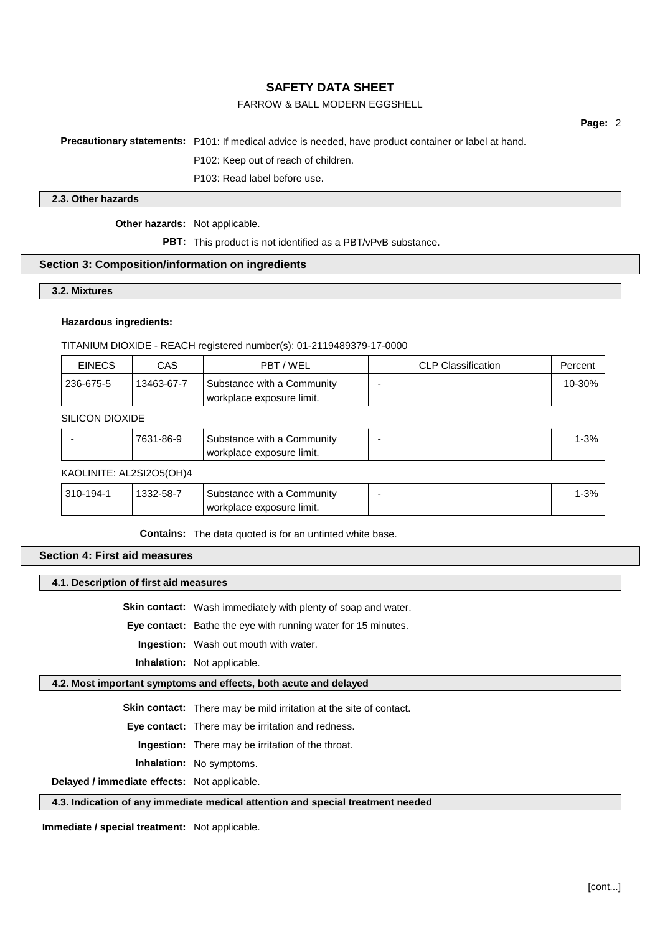# FARROW & BALL MODERN EGGSHELL

**Page:** 2

#### **Precautionary statements:** P101: If medical advice is needed, have product container or label at hand.

P102: Keep out of reach of children.

P103: Read label before use.

#### **2.3. Other hazards**

**Other hazards:** Not applicable.

**PBT:** This product is not identified as a PBT/vPvB substance.

#### **Section 3: Composition/information on ingredients**

#### **3.2. Mixtures**

#### **Hazardous ingredients:**

TITANIUM DIOXIDE - REACH registered number(s): 01-2119489379-17-0000

| <b>EINECS</b> | CAS        | PBT/WEL                                                 | <b>CLP Classification</b> | Percent |
|---------------|------------|---------------------------------------------------------|---------------------------|---------|
| 236-675-5     | 13463-67-7 | Substance with a Community<br>workplace exposure limit. |                           | 10-30%  |

### SILICON DIOXIDE

| workplace exposure limit. | 7631-<br>1-86-9<br>Substance with a Community | $-3%$ |
|---------------------------|-----------------------------------------------|-------|
|---------------------------|-----------------------------------------------|-------|

#### KAOLINITE: AL2SI2O5(OH)4

| $310 - 194 -$ | 1332-58-7 | Substance with a Community  | $1 - 3%$ |
|---------------|-----------|-----------------------------|----------|
|               |           | ' workplace exposure limit. |          |

**Contains:** The data quoted is for an untinted white base.

### **Section 4: First aid measures**

#### **4.1. Description of first aid measures**

**Skin contact:** Wash immediately with plenty of soap and water.

**Eye contact:** Bathe the eye with running water for 15 minutes.

**Ingestion:** Wash out mouth with water.

**Inhalation:** Not applicable.

### **4.2. Most important symptoms and effects, both acute and delayed**

**Skin contact:** There may be mild irritation at the site of contact.

**Eye contact:** There may be irritation and redness.

**Ingestion:** There may be irritation of the throat.

**Inhalation:** No symptoms.

**Delayed / immediate effects:** Not applicable.

#### **4.3. Indication of any immediate medical attention and special treatment needed**

**Immediate / special treatment:** Not applicable.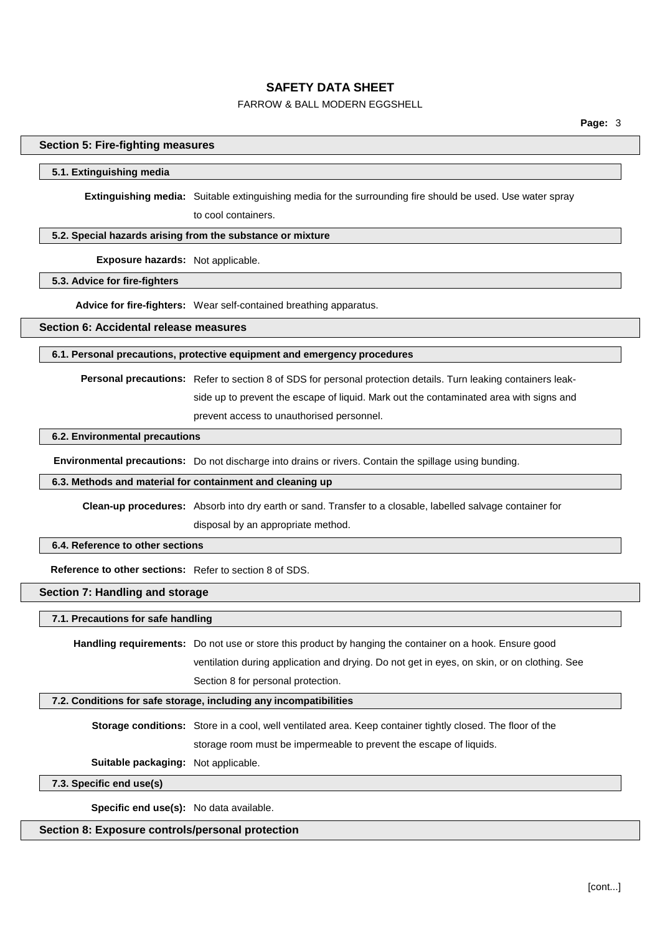# FARROW & BALL MODERN EGGSHELL

### **Section 5: Fire-fighting measures**

#### **5.1. Extinguishing media**

**Extinguishing media:** Suitable extinguishing media for the surrounding fire should be used. Use water spray to cool containers.

### **5.2. Special hazards arising from the substance or mixture**

**Exposure hazards:** Not applicable.

# **5.3. Advice for fire-fighters**

**Advice for fire-fighters:** Wear self-contained breathing apparatus.

**Section 6: Accidental release measures**

#### **6.1. Personal precautions, protective equipment and emergency procedures**

**Personal precautions:** Refer to section 8 of SDS for personal protection details. Turn leaking containers leak-

side up to prevent the escape of liquid. Mark out the contaminated area with signs and

prevent access to unauthorised personnel.

### **6.2. Environmental precautions**

**Environmental precautions:** Do not discharge into drains or rivers. Contain the spillage using bunding.

#### **6.3. Methods and material for containment and cleaning up**

**Clean-up procedures:** Absorb into dry earth or sand. Transfer to a closable, labelled salvage container for disposal by an appropriate method.

### **6.4. Reference to other sections**

**Reference to other sections:** Refer to section 8 of SDS.

### **Section 7: Handling and storage**

**7.1. Precautions for safe handling**

**Handling requirements:** Do not use or store this product by hanging the container on a hook. Ensure good ventilation during application and drying. Do not get in eyes, on skin, or on clothing. See Section 8 for personal protection.

#### **7.2. Conditions for safe storage, including any incompatibilities**

**Storage conditions:** Store in a cool, well ventilated area. Keep container tightly closed. The floor of the storage room must be impermeable to prevent the escape of liquids.

**Suitable packaging:** Not applicable.

#### **7.3. Specific end use(s)**

**Specific end use(s):** No data available.

### **Section 8: Exposure controls/personal protection**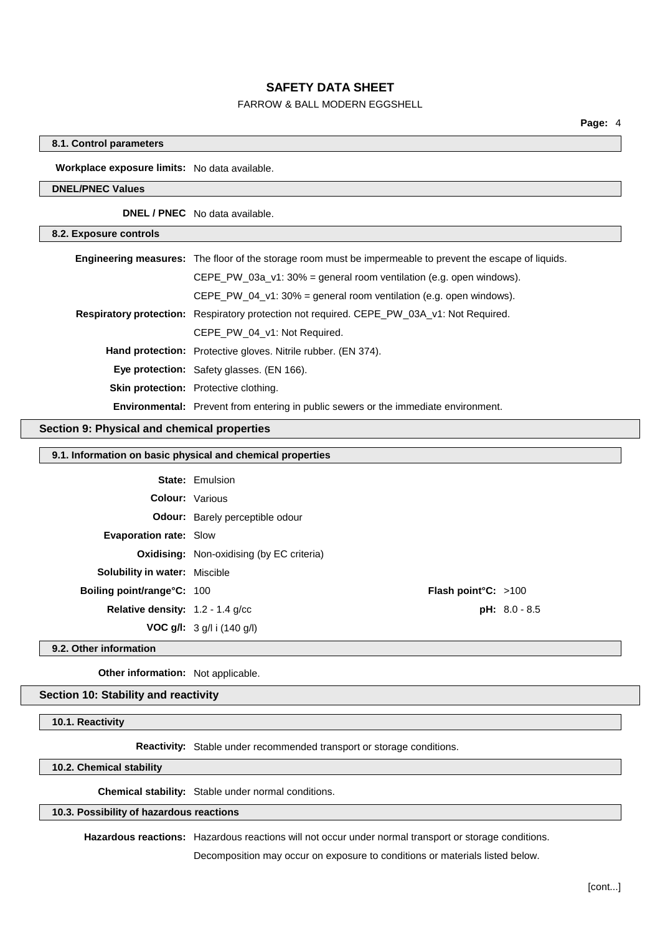### FARROW & BALL MODERN EGGSHELL

### **8.1. Control parameters**

**Workplace exposure limits:** No data available.

### **DNEL/PNEC Values**

**DNEL / PNEC** No data available.

| 8.2. Exposure controls |                                                                                                                  |
|------------------------|------------------------------------------------------------------------------------------------------------------|
|                        | <b>Engineering measures:</b> The floor of the storage room must be impermeable to prevent the escape of liquids. |
|                        | CEPE PW 03a $v1:30%$ = general room ventilation (e.g. open windows).                                             |
|                        | CEPE PW 04 $v1:30\%$ = general room ventilation (e.g. open windows).                                             |
|                        | Respiratory protection: Respiratory protection not required. CEPE_PW_03A_v1: Not Required.                       |
|                        | CEPE PW 04 v1: Not Required.                                                                                     |
|                        | <b>Hand protection:</b> Protective gloves. Nitrile rubber. (EN 374).                                             |
|                        | <b>Eye protection:</b> Safety glasses. (EN 166).                                                                 |
|                        | <b>Skin protection:</b> Protective clothing.                                                                     |
|                        | <b>Environmental:</b> Prevent from entering in public sewers or the immediate environment.                       |

### **Section 9: Physical and chemical properties**

### **9.1. Information on basic physical and chemical properties**

|                                           | <b>State: Emulsion</b>                           |                               |                 |
|-------------------------------------------|--------------------------------------------------|-------------------------------|-----------------|
|                                           | <b>Colour: Various</b>                           |                               |                 |
|                                           | <b>Odour:</b> Barely perceptible odour           |                               |                 |
| <b>Evaporation rate: Slow</b>             |                                                  |                               |                 |
|                                           | <b>Oxidising:</b> Non-oxidising (by EC criteria) |                               |                 |
| <b>Solubility in water:</b> Miscible      |                                                  |                               |                 |
| <b>Boiling point/range°C: 100</b>         |                                                  | <b>Flash point °C:</b> $>100$ |                 |
| <b>Relative density:</b> $1.2 - 1.4$ g/cc |                                                  |                               | $pH: 8.0 - 8.5$ |
|                                           | <b>VOC g/l:</b> $3$ g/l i (140 g/l)              |                               |                 |

**9.2. Other information**

**Other information:** Not applicable.

### **Section 10: Stability and reactivity**

**10.1. Reactivity**

**Reactivity:** Stable under recommended transport or storage conditions.

**10.2. Chemical stability**

**Chemical stability:** Stable under normal conditions.

## **10.3. Possibility of hazardous reactions**

**Hazardous reactions:** Hazardous reactions will not occur under normal transport or storage conditions.

Decomposition may occur on exposure to conditions or materials listed below.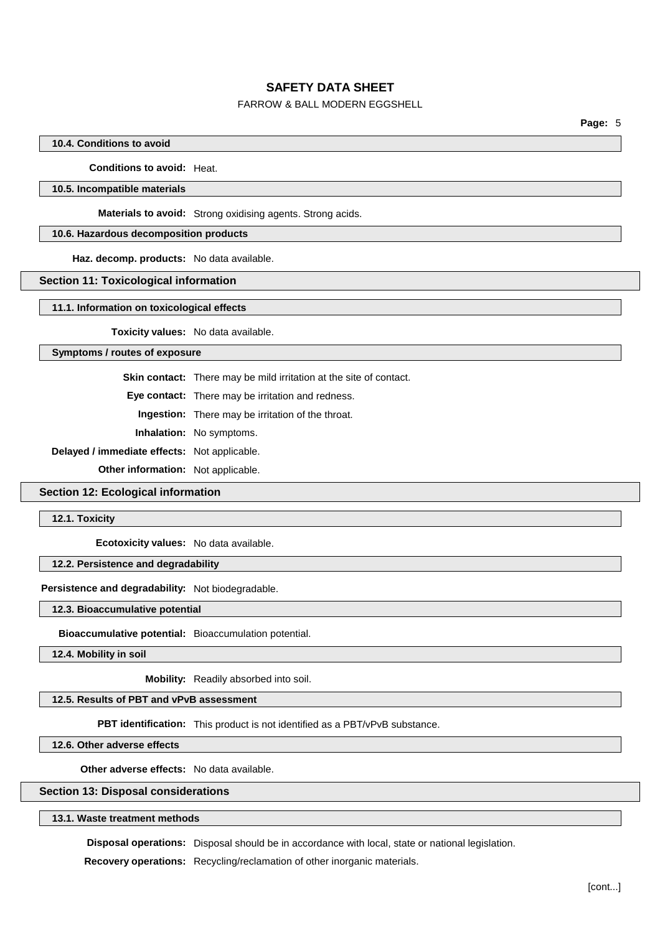# FARROW & BALL MODERN EGGSHELL

### **10.4. Conditions to avoid**

**Conditions to avoid:** Heat.

### **10.5. Incompatible materials**

**Materials to avoid:** Strong oxidising agents. Strong acids.

### **10.6. Hazardous decomposition products**

**Haz. decomp. products:** No data available.

#### **Section 11: Toxicological information**

**11.1. Information on toxicological effects**

**Toxicity values:** No data available.

### **Symptoms / routes of exposure**

**Skin contact:** There may be mild irritation at the site of contact.

**Eye contact:** There may be irritation and redness.

**Ingestion:** There may be irritation of the throat.

**Inhalation:** No symptoms.

**Delayed / immediate effects:** Not applicable.

**Other information:** Not applicable.

## **Section 12: Ecological information**

**12.1. Toxicity**

**Ecotoxicity values:** No data available.

### **12.2. Persistence and degradability**

**Persistence and degradability:** Not biodegradable.

#### **12.3. Bioaccumulative potential**

**Bioaccumulative potential:** Bioaccumulation potential.

**12.4. Mobility in soil**

**Mobility:** Readily absorbed into soil.

# **12.5. Results of PBT and vPvB assessment**

**PBT identification:** This product is not identified as a PBT/vPvB substance.

**12.6. Other adverse effects**

**Other adverse effects:** No data available.

### **Section 13: Disposal considerations**

### **13.1. Waste treatment methods**

**Disposal operations:** Disposal should be in accordance with local, state or national legislation.

**Recovery operations:** Recycling/reclamation of other inorganic materials.